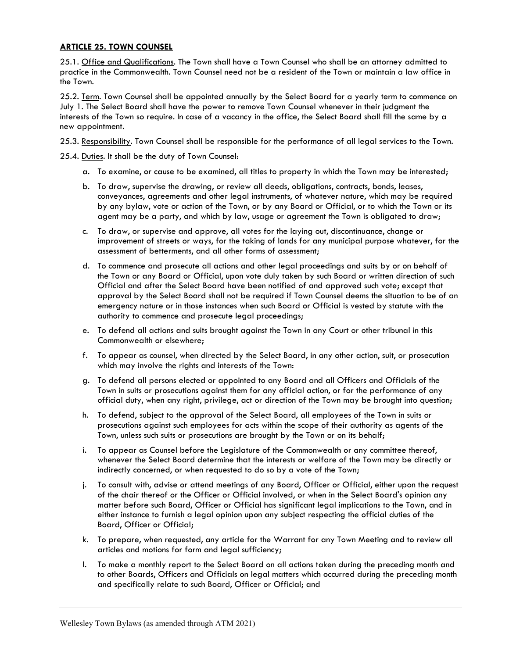## ARTICLE 25. TOWN COUNSEL

25.1. Office and Qualifications. The Town shall have a Town Counsel who shall be an attorney admitted to practice in the Commonwealth. Town Counsel need not be a resident of the Town or maintain a law office in the Town.

25.2. Term. Town Counsel shall be appointed annually by the Select Board for a yearly term to commence on July 1. The Select Board shall have the power to remove Town Counsel whenever in their judgment the interests of the Town so require. In case of a vacancy in the office, the Select Board shall fill the same by a new appointment.

25.3. Responsibility. Town Counsel shall be responsible for the performance of all legal services to the Town.

25.4. Duties. It shall be the duty of Town Counsel:

- a. To examine, or cause to be examined, all titles to property in which the Town may be interested;
- b. To draw, supervise the drawing, or review all deeds, obligations, contracts, bonds, leases, conveyances, agreements and other legal instruments, of whatever nature, which may be required by any bylaw, vote or action of the Town, or by any Board or Official, or to which the Town or its agent may be a party, and which by law, usage or agreement the Town is obligated to draw;
- c. To draw, or supervise and approve, all votes for the laying out, discontinuance, change or improvement of streets or ways, for the taking of lands for any municipal purpose whatever, for the assessment of betterments, and all other forms of assessment;
- d. To commence and prosecute all actions and other legal proceedings and suits by or on behalf of the Town or any Board or Official, upon vote duly taken by such Board or written direction of such Official and after the Select Board have been notified of and approved such vote; except that approval by the Select Board shall not be required if Town Counsel deems the situation to be of an emergency nature or in those instances when such Board or Official is vested by statute with the authority to commence and prosecute legal proceedings;
- e. To defend all actions and suits brought against the Town in any Court or other tribunal in this Commonwealth or elsewhere;
- f. To appear as counsel, when directed by the Select Board, in any other action, suit, or prosecution which may involve the rights and interests of the Town:
- g. To defend all persons elected or appointed to any Board and all Officers and Officials of the Town in suits or prosecutions against them for any official action, or for the performance of any official duty, when any right, privilege, act or direction of the Town may be brought into question;
- h. To defend, subject to the approval of the Select Board, all employees of the Town in suits or prosecutions against such employees for acts within the scope of their authority as agents of the Town, unless such suits or prosecutions are brought by the Town or on its behalf;
- i. To appear as Counsel before the Legislature of the Commonwealth or any committee thereof, whenever the Select Board determine that the interests or welfare of the Town may be directly or indirectly concerned, or when requested to do so by a vote of the Town;
- j. To consult with, advise or attend meetings of any Board, Officer or Official, either upon the request of the chair thereof or the Officer or Official involved, or when in the Select Board's opinion any matter before such Board, Officer or Official has significant legal implications to the Town, and in either instance to furnish a legal opinion upon any subject respecting the official duties of the Board, Officer or Official;
- k. To prepare, when requested, any article for the Warrant for any Town Meeting and to review all articles and motions for form and legal sufficiency;
- l. To make a monthly report to the Select Board on all actions taken during the preceding month and to other Boards, Officers and Officials on legal matters which occurred during the preceding month and specifically relate to such Board, Officer or Official; and